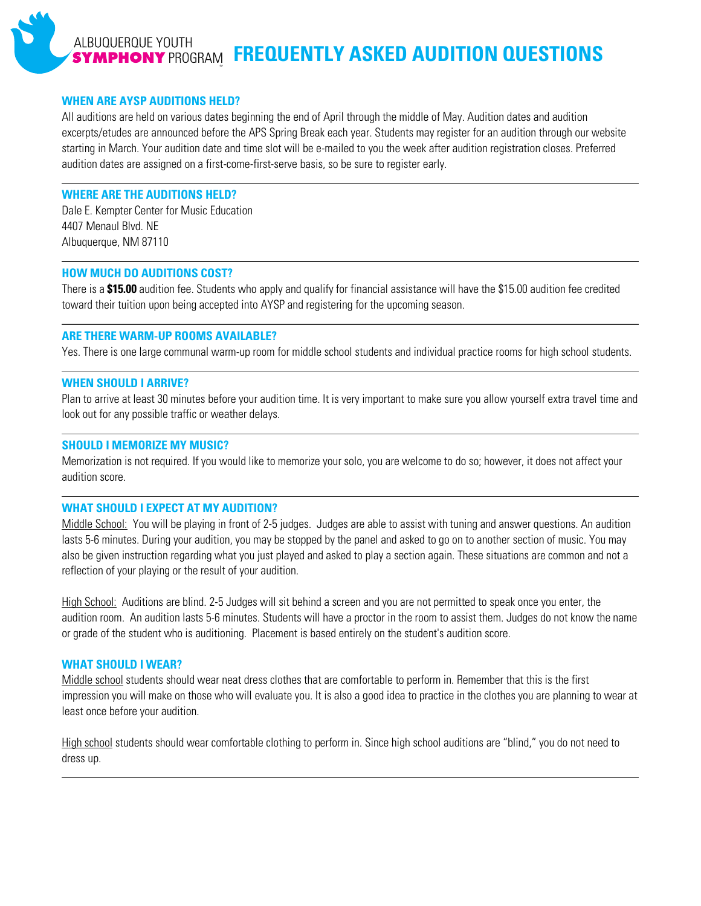# ALBUQUERQUE YOUTH **SYMPHONY** PROGRAM FREQUENTLY ASKED AUDITION QUESTIONS

#### **WHEN ARE AYSP AUDITIONS HELD?**

All auditions are held on various dates beginning the end of April through the middle of May. Audition dates and audition excerpts/etudes are announced before the APS Spring Break each year. Students may register for an audition through our website starting in March. Your audition date and time slot will be e-mailed to you the week after audition registration closes. Preferred audition dates are assigned on a first-come-first-serve basis, so be sure to register early.

## **WHERE ARE THE AUDITIONS HELD?**

Dale E. Kempter Center for Music Education 4407 Menaul Blvd. NE Albuquerque, NM 87110

#### **HOW MUCH DO AUDITIONS COST?**

There is a **\$15.00** audition fee. Students who apply and qualify for financial assistance will have the \$15.00 audition fee credited toward their tuition upon being accepted into AYSP and registering for the upcoming season.

# **ARE THERE WARM-UP ROOMS AVAILABLE?**

Yes. There is one large communal warm-up room for middle school students and individual practice rooms for high school students.

## **WHEN SHOULD I ARRIVE?**

Plan to arrive at least 30 minutes before your audition time. It is very important to make sure you allow yourself extra travel time and look out for any possible traffic or weather delays.

#### **SHOULD I MEMORIZE MY MUSIC?**

Memorization is not required. If you would like to memorize your solo, you are welcome to do so; however, it does not affect your audition score.

# **WHAT SHOULD I EXPECT AT MY AUDITION?**

Middle School: You will be playing in front of 2-5 judges. Judges are able to assist with tuning and answer questions. An audition lasts 5-6 minutes. During your audition, you may be stopped by the panel and asked to go on to another section of music. You may also be given instruction regarding what you just played and asked to play a section again. These situations are common and not a reflection of your playing or the result of your audition.

High School: Auditions are blind. 2-5 Judges will sit behind a screen and you are not permitted to speak once you enter, the audition room. An audition lasts 5-6 minutes. Students will have a proctor in the room to assist them. Judges do not know the name or grade of the student who is auditioning. Placement is based entirely on the student's audition score.

# **WHAT SHOULD I WEAR?**

Middle school students should wear neat dress clothes that are comfortable to perform in. Remember that this is the first impression you will make on those who will evaluate you. It is also a good idea to practice in the clothes you are planning to wear at least once before your audition.

High school students should wear comfortable clothing to perform in. Since high school auditions are "blind," you do not need to dress up.